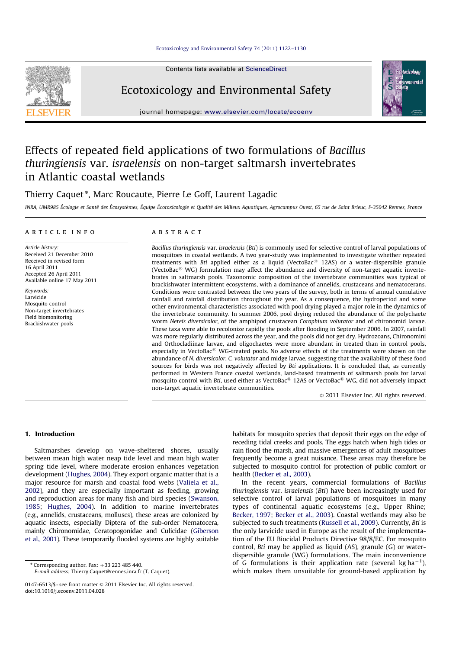

## Ecotoxicology and Environmental Safety

journal homepage: www.elsevier.com/locate/ecoenv

# Effects of repeated field applications of two formulations of Bacillus thuringiensis var. israelensis on non-target saltmarsh invertebrates in Atlantic coastal wetlands

## Thierry Caquet\*, Marc Roucaute, Pierre Le Goff, Laurent Lagadic

INRA, UMR985 Écologie et Santé des Écosystèmes, Équipe Écotoxicologie et Qualité des Milieux Aquatiques, Agrocampus Ouest, 65 rue de Saint Brieuc, F-35042 Rennes, France

## article info

Article history: Received 21 December 2010 Received in revised form 16 April 2011 Accepted 26 April 2011 Available online 17 May 2011

Keywords: Larvicide Mosquito control Non-target invertebrates Field biomonitoring Brackishwater pools

## abstract

Bacillus thuringiensis var. israelensis (Bti) is commonly used for selective control of larval populations of mosquitoes in coastal wetlands. A two year-study was implemented to investigate whether repeated treatments with Bti applied either as a liquid (VectoBac® 12AS) or a water-dispersible granule (VectoBac<sup>®</sup> WG) formulation may affect the abundance and diversity of non-target aquatic invertebrates in saltmarsh pools. Taxonomic composition of the invertebrate communities was typical of brackishwater intermittent ecosystems, with a dominance of annelids, crustaceans and nematocerans. Conditions were contrasted between the two years of the survey, both in terms of annual cumulative rainfall and rainfall distribution throughout the year. As a consequence, the hydroperiod and some other environmental characteristics associated with pool drying played a major role in the dynamics of the invertebrate community. In summer 2006, pool drying reduced the abundance of the polychaete worm Nereis diversicolor, of the amphipod crustacean Corophium volutator and of chironomid larvae. These taxa were able to recolonize rapidly the pools after flooding in September 2006. In 2007, rainfall was more regularly distributed across the year, and the pools did not get dry. Hydrozoans, Chironomini and Orthocladiinae larvae, and oligochaetes were more abundant in treated than in control pools, especially in VectoBac® WG-treated pools. No adverse effects of the treatments were shown on the abundance of N. diversicolor, C. volutator and midge larvae, suggesting that the availability of these food sources for birds was not negatively affected by Bti applications. It is concluded that, as currently performed in Western France coastal wetlands, land-based treatments of saltmarsh pools for larval mosquito control with Bti, used either as VectoBac<sup>®</sup> 12AS or VectoBac® WG, did not adversely impact non-target aquatic invertebrate communities.

 $\odot$  2011 Elsevier Inc. All rights reserved.

## 1. Introduction

Saltmarshes develop on wave-sheltered shores, usually between mean high water neap tide level and mean high water spring tide level, where moderate erosion enhances vegetation development (Hughes, 2004). They export organic matter that is a major resource for marsh and coastal food webs (Valiela et al., 2002), and they are especially important as feeding, growing and reproduction areas for many fish and bird species (Swanson, 1985; Hughes, 2004). In addition to marine invertebrates (e.g., annelids, crustaceans, molluscs), these areas are colonized by aquatic insects, especially Diptera of the sub-order Nematocera, mainly Chironomidae, Ceratopogonidae and Culicidae (Giberson et al., 2001). These temporarily flooded systems are highly suitable

E-mail address: Thierry.Caquet@rennes.inra.fr (T. Caquet).

habitats for mosquito species that deposit their eggs on the edge of receding tidal creeks and pools. The eggs hatch when high tides or rain flood the marsh, and massive emergences of adult mosquitoes frequently become a great nuisance. These areas may therefore be subjected to mosquito control for protection of public comfort or health (Becker et al., 2003).

In the recent years, commercial formulations of Bacillus thuringiensis var. israelensis (Bti) have been increasingly used for selective control of larval populations of mosquitoes in many types of continental aquatic ecosystems (e.g., Upper Rhine; Becker, 1997; Becker et al., 2003). Coastal wetlands may also be subjected to such treatments (Russell et al., 2009). Currently, Bti is the only larvicide used in Europe as the result of the implementation of the EU Biocidal Products Directive 98/8/EC. For mosquito control, Bti may be applied as liquid (AS), granule (G) or waterdispersible granule (WG) formulations. The main inconvenience of G formulations is their application rate (several kg ha<sup>-1</sup>), which makes them unsuitable for ground-based application by

 $*$  Corresponding author. Fax:  $+33$  223 485 440.

<sup>0147-6513/\$ -</sup> see front matter  $\odot$  2011 Elsevier Inc. All rights reserved. doi:10.1016/j.ecoenv.2011.04.028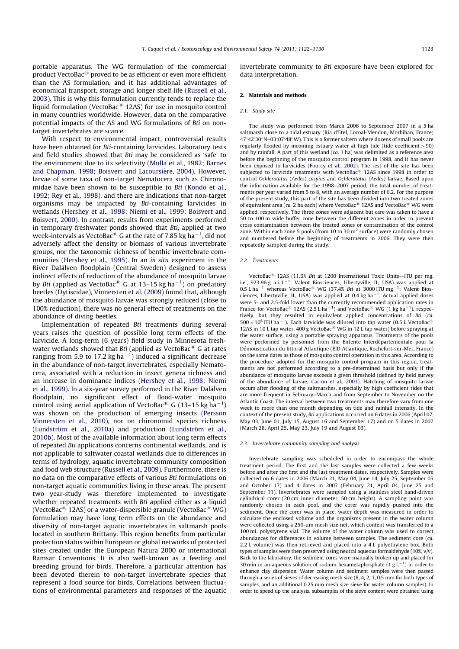portable apparatus. The WG formulation of the commercial product VectoBac® proved to be as efficient or even more efficient than the AS formulation, and it has additional advantages of economical transport, storage and longer shelf life (Russell et al., 2003). This is why this formulation currently tends to replace the liquid formulation (VectoBac $^{\circledR}$  12AS) for use in mosquito control in many countries worldwide. However, data on the comparative potential impacts of the AS and WG formulations of Bti on nontarget invertebrates are scarce.

With respect to environmental impact, controversial results have been obtained for Bti-containing larvicides. Laboratory tests and field studies showed that Bti may be considered as 'safe' to the environment due to its selectivity (Mulla et al., 1982; Barnes and Chapman, 1998; Boisvert and Lacoursière, 2004). However, larvae of some taxa of non-target Nematocera such as Chironomidae have been shown to be susceptible to Bti (Kondo et al., 1992; Rey et al., 1998), and there are indications that non-target organisms may be impacted by Bti-containing larvicides in wetlands (Hershey et al., 1998; Niemi et al., 1999; Boisvert and Boisvert, 2000). In contrast, results from experiments performed in temporary freshwater ponds showed that Bti, applied at two week-intervals as VectoBac® G at the rate of 7.85 kg ha $^{-1}$ , did not adversely affect the density or biomass of various invertebrate groups, nor the taxonomic richness of benthic invertebrate communities (Hershey et al., 1995). In an in situ experiment in the River Dalälven floodplain (Central Sweden) designed to assess indirect effects of reduction of the abundance of mosquito larvae by Bti (applied as VectoBac<sup>®</sup> G at 13–15 kg ha<sup>-1</sup>) on predatory beetles (Dytiscidae), Vinnersten et al. (2009) found that, although the abundance of mosquito larvae was strongly reduced (close to 100% reduction), there was no general effect of treatments on the abundance of diving beetles.

Implementation of repeated Bti treatments during several years raises the question of possible long term effects of the larvicide. A long-term (6 years) field study in Minnesota freshwater wetlands showed that Bti (applied as VectoBac $^{\circledR}$  G at rates ranging from 5.9 to 17.2 kg ha $^{-1}$ ) induced a significant decrease in the abundance of non-target invertebrates, especially Nematocera, associated with a reduction in insect genera richness and an increase in dominance indices (Hershey et al., 1998; Niemi et al., 1999). In a six-year survey performed in the River Dalälven floodplain, no significant effect of flood-water mosquito control using aerial application of VectoBac<sup>®</sup> G (13–15 kg ha<sup>-1</sup>) was shown on the production of emerging insects (Persson Vinnersten et al., 2010), nor on chironomid species richness  $(Lundström$  et al., 2010a) and production  $(Lundström$  et al., 2010b). Most of the available information about long term effects of repeated Bti applications concerns continental wetlands, and is not applicable to saltwater coastal wetlands due to differences in terms of hydrology, aquatic invertebrate community composition and food web structure (Russell et al., 2009). Furthermore, there is no data on the comparative effects of various Bti formulations on non-target aquatic communities living in these areas. The present two year-study was therefore implemented to investigate whether repeated treatments with *Bti* applied either as a liquid (VectoBac<sup>®</sup> 12AS) or a water-dispersible granule (VectoBac<sup>®</sup> WG) formulation may have long term effects on the abundance and diversity of non-target aquatic invertebrates in saltmarsh pools located in southern Brittany. This region benefits from particular protection status within European or global networks of protected sites created under the European Natura 2000 or international Ramsar Conventions. It is also well-known as a feeding and breeding ground for birds. Therefore, a particular attention has been devoted therein to non-target invertebrate species that represent a food source for birds. Correlations between fluctuations of environmental parameters and responses of the aquatic invertebrate community to Bti exposure have been explored for data interpretation.

#### 2. Materials and methods

#### 2.1. Study site

The study was performed from March 2006 to September 2007 in a 5 ha saltmarsh close to a tidal estuary (Ria d'Etel, Locoal-Mendon, Morbihan, France;  $47^{\circ}42'30''$ N–03 $^{\circ}07'48''$ W). This is a former saltern where dozens of small pools are regularly flooded by incoming estuary water at high tide (tide coefficient  $>90$ ) and by rainfall. A part of this wetland  $(ca. 1 ha)$  was delimited as a reference area before the beginning of the mosquito control program in 1998, and it has never been exposed to larvicides (Fourcy et al., 2002). The rest of the site has been subjected to larvicide treatments with VectoBac® 12AS since 1998 in order to control Ochlerotatus (Aedes) caspius and Ochlerotatus (Aedes) larvae. Based upon the information available for the 1998–2007 period, the total number of treatments per year varied from 5 to 8, with an average number of 6.2. For the purpose of the present study, this part of the site has been divided into two treated zones of equivalent area (ca. 2 ha each) where VectoBac® 12AS and VectoBac® WG were applied, respectively. The three zones were adjacent but care was taken to have a 50 to 100 m wide buffer zone between the different zones in order to prevent cross contamination between the treated zones or contamination of the control zone. Within each zone 5 pools (from 10 to 30  $m<sup>2</sup>$  surface) were randomly chosen and numbered before the beginning of treatments in 2006. They were then repeatedly sampled during the study.

#### 2.2. Treatments

VectoBac<sup>®</sup> 12AS (11.6% Bti at 1200 International Toxic Units—ITU per mg, i.e., 923.96 g a.i.  $L^{-1}$ ; Valent Biosciences, Libertyville, IL, USA) was applied at  $0.5$  L ha<sup>-1</sup> whereas VectoBac<sup>®</sup> WG (37.4% Bti at 3000 ITU mg<sup>-1</sup>; Valent Biosciences, Libertyville, IL, USA) was applied at  $0.4$  kg ha<sup>-1</sup>. Actual applied doses were 5- and 2.5-fold lower than the currently recommended application rates in France for VectoBac<sup>®</sup> 12AS (2.5 L ha<sup>-1</sup>) and VectoBac<sup>®</sup> WG (1 kg ha<sup>-1</sup>), respectively, but they resulted in equivalent applied concentrations of Bti (ca.  $500 \times 10^6$  ITU ha<sup>-1</sup>). Each larvicide was diluted into tap water (0.5 L VectoBac<sup>®</sup> 12AS in 10 L tap water, 400 g VectoBac<sup>®</sup> WG in 12 L tap water) before spraying at the water surface, using a portable spraying apparatus. Treatments of the pools were performed by personnel from the Entente Interdépartementale pour la Démoustication du littoral Atlantique (EID Atlantique, Rochefort-sur-Mer, France) on the same dates as those of mosquito control operation in this area. According to the procedure adopted for the mosquito control program in this region, treatments are not performed according to a pre-determined basis but only if the abundance of mosquito larvae exceeds a given threshold (defined by field survey of the abundance of larvae; Carron et al., 2003). Hatching of mosquito larvae occurs after flooding of the saltmarshes, especially by high coefficient tides that are more frequent in February–March and from September to November on the Atlantic Coast. The interval between two treatments may therefore vary from one week to more than one month depending on tide and rainfall intensity. In the context of the present study, Bti applications occurred on 6 dates in 2006 (April 07, May 03, June 01, July 15, August 16 and September 17) and on 5 dates in 2007 (March 28, April 25, May 23, July 19 and August 03).

#### 2.3. Invertebrate community sampling and analysis

Invertebrate sampling was scheduled in order to encompass the whole treatment period. The first and the last samples were collected a few weeks before and after the first and the last treatment dates, respectively. Samples were collected on 6 dates in 2006 (March 21, May 04, June 14, July 25, September 05 and October 17) and 4 dates in 2007 (February 21, April 04, June 25 and September 11). Invertebrates were sampled using a stainless steel hand-driven cylindrical corer (20 cm inner diameter, 50 cm height). A sampling point was randomly chosen in each pool, and the corer was rapidly pushed into the sediment. Once the corer was in place, water depth was measured in order to calculate the enclosed volume and the organisms present in the water column were collected using a 250-µm mesh size net, which content was transferred to a 100 mL polystyrene vial. The volume of the water column was used to correct abundances for differences in volume between samples. The sediment core (ca. 2.2 L volume) was then retrieved and placed into a 4 L polyethylene box. Both types of samples were then preserved using neutral aqueous formaldehyde (10%, v/v). Back to the laboratory, the sediment cores were manually broken up and placed for 30 min in an aqueous solution of sodium hexametaphosphate  $(1 g L^{-1})$  in order to enhance clay dispersion. Water column and sediment samples were then passed through a series of sieves of decreasing mesh size (8, 4, 2, 1, 0.5 mm for both types of samples, and an additional 0.25 mm mesh size sieve for water column samples). In order to speed up the analysis, subsamples of the sieve content were obtained using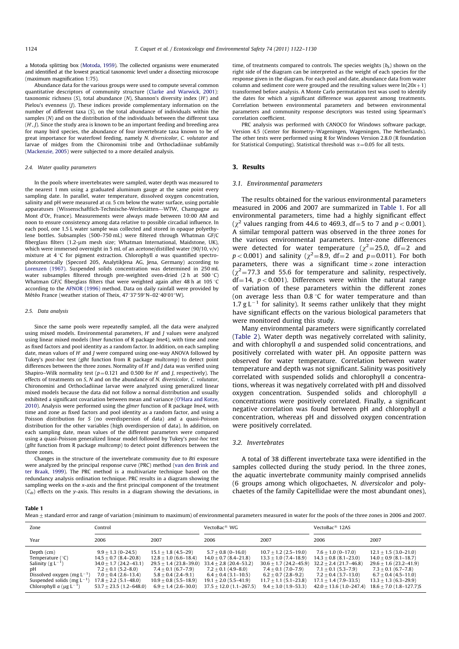a Motoda splitting box (Motoda, 1959). The collected organisms were enumerated and identified at the lowest practical taxonomic level under a dissecting microscope (maximum magnification 1:75).

Abundance data for the various groups were used to compute several common quantitative descriptors of community structure (Clarke and Warwick, 2001): taxonomic richness (S), total abundance (N), Shannon's diversity index  $(H')$  and Pielou's evenness (J). These indices provide complementary information on the number of different taxa (S), on the total abundance of individuals within the samples (N) and on the distribution of the individuals between the different taxa  $(H', J)$ . Since the study area is known to be an important feeding and breeding area for many bird species, the abundance of four invertebrate taxa known to be of great importance for waterfowl feeding, namely N. diversicolor, C. volutator and larvae of midges from the Chironomini tribe and Orthocladiinae subfamily (Mackenzie, 2005) were subjected to a more detailed analysis.

#### 2.4. Water quality parameters

In the pools where invertebrates were sampled, water depth was measured to the nearest 1 mm using a graduated aluminum gauge at the same point every sampling date. In parallel, water temperature, dissolved oxygen concentration, salinity and pH were measured at  $ca$ . 5 cm below the water surface, using portable apparatuses (Wissenschaftlich-Technische-Werkstätten-WTW, Champagne au Mont d'Or, France). Measurements were always made between 10:00 AM and noon to ensure consistency among data relative to possible circadial influence. In each pool, one 1.5 L water sample was collected and stored in opaque polyethylene bottles. Subsamples (500–750 mL) were filtered through Whatman GF/C fiberglass filters (1.2-µm mesh size; Whatman International, Maidstone, UK), which were immersed overnight in 5 mL of an acetone/distilled water (90/10, v/v) mixture at  $4^{\circ}$ C for pigment extraction. Chlorophyll a was quantified spectrophotometrically (Specord 205, AnalytikJena AG, Jena, Germany) according to Lorenzen (1967). Suspended solids concentration was determined in 250 mL water subsamples filtered through pre-weighted oven-dried (2 h at 500  $°C$ ) Whatman GF/C fiberglass filters that were weighted again after 48 h at 105 °C according to the AFNOR (1996) method. Data on daily rainfall were provided by Météo France (weather station of Theix, 47°37′59″N–02°40′01″W).

#### 2.5. Data analysis

Since the same pools were repeatedly sampled, all the data were analyzed using mixed models. Environmental parameters,  $H'$  and J values were analyzed using linear mixed models (lmer function of R package lme4), with time and zone as fixed factors and pool identity as a random factor. In addition, on each sampling date, mean values of  $H'$  and *I* were compared using one-way ANOVA followed by Tukey's post-hoc test (glht function from R package multcomp) to detect point differences between the three zones. Normality of  $H'$  and *I* data was verified using Shapiro–Wilk normality test ( $p=0.121$  and 0.500 for H' and J, respectively). The effects of treatments on S, N and on the abundance of N. diversicolor, C. volutator, Chironomini and Orthocladiinae larvae were analyzed using generalized linear mixed models because the data did not follow a normal distribution and usually exhibited a significant covariation between mean and variance (O'Hara and Kotze, 2010). Analysis were performed using the glmer function of R package lme4, with time and zone as fixed factors and pool identity as a random factor, and using a Poisson distribution for S (no overdispersion of data) and a quasi-Poisson distribution for the other variables (high overdispersion of data). In addition, on each sampling date, mean values of the different parameters were compared using a quasi-Poisson generalized linear model followed by Tukey's post-hoc test (glht function from R package multcomp) to detect point differences between the three zones.

Changes in the structure of the invertebrate community due to Bti exposure were analyzed by the principal response curve (PRC) method (van den Brink and ter Braak, 1999). The PRC method is a multivariate technique based on the redundancy analysis ordination technique. PRC results in a diagram showing the sampling weeks on the x-axis and the first principal component of the treatment  $(C_{dt})$  effects on the y-axis. This results in a diagram showing the deviations, in

time, of treatments compared to controls. The species weights  $(b_k)$  shown on the right side of the diagram can be interpreted as the weight of each species for the response given in the diagram. For each pool and date, abundance data from water column and sediment core were grouped and the resulting values were  $ln(20x+1)$ transformed before analysis. A Monte Carlo permutation test was used to identify the dates for which a significant difference was apparent among treatments. Correlation between environmental parameters and between environmental parameters and community response descriptors was tested using Spearman's correlation coefficient.

PRC analysis was performed with CANOCO for Windows software package, Version 4.5 (Center for Biometry–Wageningen, Wageningen, The Netherlands). The other tests were performed using R for Windows Version 2.8.0 (R foundation for Statistical Computing). Statistical threshold was  $\alpha$  = 0.05 for all tests.

## 3. Results

#### 3.1. Environmental parameters

The results obtained for the various environmental parameters measured in 2006 and 2007 are summarized in Table 1. For all environmental parameters, time had a highly significant effect ( $\chi^2$  values ranging from 44.6 to 469.3, df = 5 to 7 and p < 0.001). A similar temporal pattern was observed in the three zones for the various environmental parameters. Inter-zone differences were detected for water temperature ( $\chi^2$ =25.0, df=2 and  $p < 0.001$ ) and salinity ( $\chi^2 = 8.9$ , df=2 and  $p = 0.011$ ). For both parameters, there was a significant time  $\times$  zone interaction  $(\chi^2$ =77.3 and 55.6 for temperature and salinity, respectively,  $df=14$ ,  $p<0.001$ ). Differences were within the natural range of variation of these parameters within the different zones (on average less than  $0.8 \degree C$  for water temperature and than 1.7 g  $L^{-1}$  for salinity). It seems rather unlikely that they might have significant effects on the various biological parameters that were monitored during this study.

Many environmental parameters were significantly correlated (Table 2). Water depth was negatively correlated with salinity, and with chlorophyll a and suspended solid concentrations, and positively correlated with water pH. An opposite pattern was observed for water temperature. Correlation between water temperature and depth was not significant. Salinity was positively correlated with suspended solids and chlorophyll a concentrations, whereas it was negatively correlated with pH and dissolved oxygen concentration. Suspended solids and chlorophyll a concentrations were positively correlated. Finally, a significant negative correlation was found between pH and chlorophyll a concentration, whereas pH and dissolved oxygen concentration were positively correlated.

#### 3.2. Invertebrates

A total of 38 different invertebrate taxa were identified in the samples collected during the study period. In the three zones, the aquatic invertebrate community mainly comprised annelids (6 groups among which oligochaetes, N. diversicolor and polychaetes of the family Capitellidae were the most abundant ones),

Table 1

|  |  |  |  |  |  |  |  |  | Mean + standard error and range of variation (minimum to maximum) of environmental parameters measured in water for the pools of the three zones in 2006 and 2007 |  |  |  |  |  |  |  |  |  |
|--|--|--|--|--|--|--|--|--|-------------------------------------------------------------------------------------------------------------------------------------------------------------------|--|--|--|--|--|--|--|--|--|
|--|--|--|--|--|--|--|--|--|-------------------------------------------------------------------------------------------------------------------------------------------------------------------|--|--|--|--|--|--|--|--|--|

| Zone                                                                                                                                                                             | Control                                                                                                                                                                                       |                                                                                                                                                                                           | VectoBac $^{\text{\tiny{\textregistered}}}$ WG                                                                                                                                              |                                                                                                                                                                                              | VectoBac $^{\circledR}$ 12AS                                                                                                                                                                |                                                                                                                                                                                                    |  |
|----------------------------------------------------------------------------------------------------------------------------------------------------------------------------------|-----------------------------------------------------------------------------------------------------------------------------------------------------------------------------------------------|-------------------------------------------------------------------------------------------------------------------------------------------------------------------------------------------|---------------------------------------------------------------------------------------------------------------------------------------------------------------------------------------------|----------------------------------------------------------------------------------------------------------------------------------------------------------------------------------------------|---------------------------------------------------------------------------------------------------------------------------------------------------------------------------------------------|----------------------------------------------------------------------------------------------------------------------------------------------------------------------------------------------------|--|
| Year                                                                                                                                                                             | 2006                                                                                                                                                                                          | 2007                                                                                                                                                                                      | 2006                                                                                                                                                                                        | 2007                                                                                                                                                                                         | 2006                                                                                                                                                                                        | 2007                                                                                                                                                                                               |  |
| Depth $(cm)$<br>Temperature $(^{\circ}C)$<br>Salinity $(g L^{-1})$<br>рH<br>Dissolved oxygen (mg $L^{-1}$ )<br>Suspended solids (mg $L^{-1}$ )<br>Chlorophyll a $(\mu g L^{-1})$ | $9.9 + 1.3(0 - 24.5)$<br>$14.5 + 0.7 (8.4 - 20.8)$<br>$34.0 + 1.7(24.2 - 43.1)$<br>$7.2 + 0.1(5.2 - 8.0)$<br>$7.0 + 0.4$ (2.6-13.4)<br>$17.8 + 2.2(5.1 - 48.0)$<br>$53.7 + 23.5(1.2 - 648.0)$ | $15.1 + 1.8$ (4.5-29)<br>$12.8 + 1.0(6.6 - 18.4)$<br>$29.5 + 1.4(23.8 - 39.0)$<br>$7.4 + 0.1 (6.7 - 7.9)$<br>$5.8 + 0.4$ (2.4-9.1)<br>$10.9 + 0.8(5.5 - 18.9)$<br>$6.9 + 1.4(2.6 - 30.0)$ | $5.7 + 0.8$ (0-16.0)<br>$14.0 + 0.7 (8.4 - 21.8)$<br>$33.4 + 2.8$ (20.4-53.2)<br>$7.2 + 0.1$ (4.9–8.0)<br>$6.4 + 0.4(3.1 - 10.5)$<br>$19.1 + 2.0(5.5 - 41.9)$<br>$37.5 + 12.0(1.1 - 267.5)$ | $10.7 + 1.2$ (2.5-19.0)<br>$13.3 + 1.0(7.4 - 18.9)$<br>$30.6 + 1.7(24.2 - 45.9)$<br>$7.4 + 0.1 (7.0 - 7.9)$<br>$6.2 + 0.7(2.8 - 9.2)$<br>$11.7 + 1.1(5.1 - 23.8)$<br>$9.4 + 3.0(1.9 - 53.3)$ | $7.6 + 1.0(0-17.0)$<br>$14.3 + 0.8$ (8.1-23.0)<br>$32.2 + 2.4(21.7 - 46.8)$<br>$7.1 + 0.1 (5.3 - 7.9)$<br>$7.2 + 0.4(3.7 - 13.0)$<br>$17.1 + 1.4(7.9 - 33.5)$<br>$42.0 + 13.6(1.0 - 247.4)$ | $12.1 + 1.5(3.0 - 21.0)$<br>$14.0 + 0.9(8.1 - 18.7)$<br>$29.6 + 1.6(23.2 - 41.9)$<br>$7.3 + 0.1 (6.7 - 7.8)$<br>$6.7 + 0.4(4.5 - 11.0)$<br>$13.3 + 1.3(6.3 - 29.9)$<br>$18.6 + 7.0(1.8 - 127.7)$ S |  |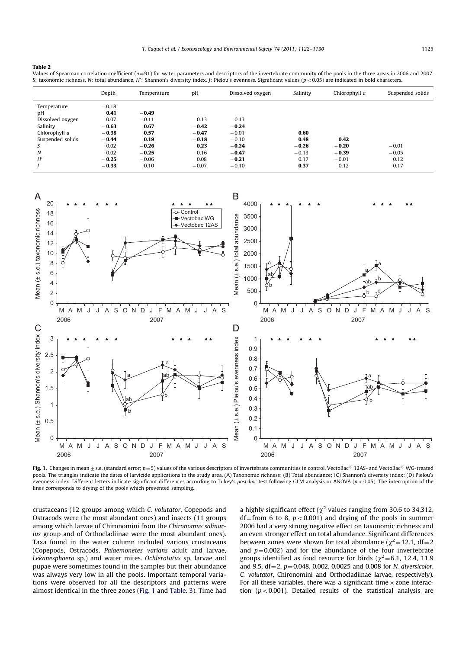### Table 2

Values of Spearman correlation coefficient  $(n=91)$  for water parameters and descriptors of the invertebrate community of the pools in the three areas in 2006 and 2007. S: taxonomic richness, N: total abundance, H': Shannon's diversity index, J: Pielou's evenness. Significant values (p < 0.05) are indicated in bold characters.

|                  | Depth   | Temperature | pH      | Dissolved oxygen | Salinity | Chlorophyll a | Suspended solids |
|------------------|---------|-------------|---------|------------------|----------|---------------|------------------|
| Temperature      | $-0.18$ |             |         |                  |          |               |                  |
| pH               | 0.41    | $-0.49$     |         |                  |          |               |                  |
| Dissolved oxygen | 0.07    | $-0.11$     | 0.13    | 0.13             |          |               |                  |
| Salinity         | $-0.63$ | 0.67        | $-0.42$ | $-0.24$          |          |               |                  |
| Chlorophyll a    | $-0.38$ | 0.57        | $-0.47$ | $-0.01$          | 0.60     |               |                  |
| Suspended solids | $-0.44$ | 0.19        | $-0.18$ | $-0.10$          | 0.48     | 0.42          |                  |
|                  | 0.02    | $-0.26$     | 0.23    | $-0.24$          | $-0.26$  | $-0.20$       | $-0.01$          |
| N                | 0.02    | $-0.25$     | 0.16    | $-0.47$          | $-0.13$  | $-0.39$       | $-0.05$          |
| H'               | $-0.25$ | $-0.06$     | 0.08    | $-0.21$          | 0.17     | $-0.01$       | 0.12             |
|                  | $-0.33$ | 0.10        | $-0.07$ | $-0.10$          | 0.37     | 0.12          | 0.17             |



Fig. 1. Changes in mean  $\pm$  s.e. (standard error; n=5) values of the various descriptors of invertebrate communities in control, VectoBac® 12AS- and VectoBac® WG-treated pools. The triangles indicate the dates of larvicide applications in the study area. (A) Taxonomic richness; (B) Total abundance; (C) Shannon's diversity index; (D) Pielou's evenness index. Different letters indicate significant differences according to Tukey's post-hoc test following GLM analysis or ANOVA ( $p$  < 0.05). The interruption of the lines corresponds to drying of the pools which prevented sampling.

crustaceans (12 groups among which C. volutator, Copepods and Ostracods were the most abundant ones) and insects (11 groups among which larvae of Chironomini from the Chironomus salinarius group and of Orthocladiinae were the most abundant ones). Taxa found in the water column included various crustaceans (Copepods, Ostracods, Palaemonetes varians adult and larvae, Lekanesphaera sp.) and water mites. Ochlerotatus sp. larvae and pupae were sometimes found in the samples but their abundance was always very low in all the pools. Important temporal variations were observed for all the descriptors and patterns were almost identical in the three zones (Fig. 1 and Table. 3). Time had a highly significant effect ( $\chi^2$  values ranging from 30.6 to 34,312, df=from 6 to 8,  $p < 0.001$ ) and drying of the pools in summer 2006 had a very strong negative effect on taxonomic richness and an even stronger effect on total abundance. Significant differences between zones were shown for total abundance ( $\chi^2$  = 12.1, df = 2 and  $p=0.002$ ) and for the abundance of the four invertebrate groups identified as food resource for birds ( $\chi^2$ =6.1, 12.4, 11.9 and 9.5,  $df = 2$ ,  $p = 0.048$ , 0.002, 0.0025 and 0.008 for N. diversicolor, C. volutator, Chironomini and Orthocladiinae larvae, respectively). For all these variables, there was a significant time  $\times$  zone interaction ( $p < 0.001$ ). Detailed results of the statistical analysis are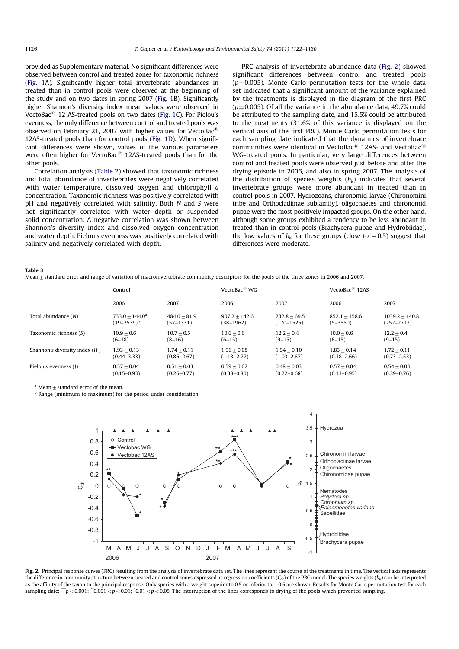provided as Supplementary material. No significant differences were observed between control and treated zones for taxonomic richness (Fig. 1A). Significantly higher total invertebrate abundances in treated than in control pools were observed at the beginning of the study and on two dates in spring 2007 (Fig. 1B). Significantly higher Shannon's diversity index mean values were observed in VectoBac $\mathbb{B}$  12 AS-treated pools on two dates (Fig. 1C). For Pielou's evenness, the only difference between control and treated pools was observed on February 21, 2007 with higher values for VectoBac $^{\circledR}$ 12AS-treated pools than for control pools (Fig. 1D). When significant differences were shown, values of the various parameters were often higher for VectoBac $\mathbb{B}$  12AS-treated pools than for the other pools.

Correlation analysis (Table 2) showed that taxonomic richness and total abundance of invertebrates were negatively correlated with water temperature, dissolved oxygen and chlorophyll a concentration. Taxonomic richness was positively correlated with pH and negatively correlated with salinity. Both N and S were not significantly correlated with water depth or suspended solid concentration. A negative correlation was shown between Shannon's diversity index and dissolved oxygen concentration and water depth. Pielou's evenness was positively correlated with salinity and negatively correlated with depth.

PRC analysis of invertebrate abundance data (Fig. 2) showed significant differences between control and treated pools  $(p=0.005)$ . Monte Carlo permutation tests for the whole data set indicated that a significant amount of the variance explained by the treatments is displayed in the diagram of the first PRC  $(p=0.005)$ . Of all the variance in the abundance data, 49.7% could be attributed to the sampling date, and 15.5% could be attributed to the treatments (31.6% of this variance is displayed on the vertical axis of the first PRC). Monte Carlo permutation tests for each sampling date indicated that the dynamics of invertebrate communities were identical in VectoBac<sup>®</sup> 12AS- and VectoBac<sup>®</sup> WG-treated pools. In particular, very large differences between control and treated pools were observed just before and after the drying episode in 2006, and also in spring 2007. The analysis of the distribution of species weights  $(b_k)$  indicates that several invertebrate groups were more abundant in treated than in control pools in 2007. Hydrozoans, chironomid larvae (Chironomini tribe and Orthocladiinae subfamily), oligochaetes and chironomid pupae were the most positively impacted groups. On the other hand, although some groups exhibited a tendency to be less abundant in treated than in control pools (Brachycera pupae and Hydrobiidae), the low values of  $b_k$  for these groups (close to  $-0.5$ ) suggest that differences were moderate.

#### Table 3

Mean  $\pm$  standard error and range of variation of macroinvertebrate community descriptors for the pools of the three zones in 2006 and 2007.

|                                  | Control           |                 | VectoBac $^{\circledR}$ WG |                 | VectoBac $\mathbb{E}$ 12AS |                  |  |
|----------------------------------|-------------------|-----------------|----------------------------|-----------------|----------------------------|------------------|--|
|                                  | 2006              | 2007            | 2006                       | 2007            | 2006                       | 2007             |  |
| Total abundance (N)              | $733.0 + 144.0a$  | $484.0 + 81.9$  | $907.2 + 142.6$            | $732.8 + 69.5$  | $852.1 + 158.6$            | $1039.2 + 140.8$ |  |
|                                  | $(19 - 2539)^{b}$ | $(57-1331)$     | (38–1962)                  | (170–1525)      | $(5 - 3550)$               | $(252 - 2717)$   |  |
| Taxonomic richness $(S)$         | $10.9 + 0.6$      | $10.7 + 0.5$    | $10.6 + 0.6$               | $12.2 + 0.4$    | $10.0 + 0.6$               | $12.2 + 0.4$     |  |
|                                  | $(6-18)$          | $(8-16)$        | $(6-15)$                   | $(9 - 15)$      | $(6-15)$                   | $(9-15)$         |  |
| Shannon's diversity index $(H')$ | $1.93 + 0.13$     | $1.74 + 0.11$   | $1.96 + 0.08$              | $1.94 + 0.10$   | $1.83 + 0.14$              | $1.72 + 0.11$    |  |
|                                  | $(0.44 - 3.33)$   | $(0.86 - 2.67)$ | $(1.13 - 2.77)$            | $(1.03 - 2.67)$ | $(0.38 - 2.66)$            | $(0.73 - 2.53)$  |  |
| Pielou's evenness (1)            | $0.57 + 0.04$     | $0.51 + 0.03$   | $0.59 + 0.02$              | $0.48 + 0.03$   | $0.57 + 0.04$              | $0.54 + 0.03$    |  |
|                                  | $(0.15 - 0.93)$   | $(0.26 - 0.77)$ | $(0.38 - 0.80)$            | $(0.22 - 0.68)$ | $(0.13 - 0.95)$            | $(0.29 - 0.76)$  |  |

Mean  $+$  standard error of the mean.

 $\overline{b}$  Range (minimum to maximum) for the period under consideration.



Fig. 2. Principal response curves (PRC) resulting from the analysis of invertebrate data set. The lines represent the course of the treatments in time. The vertical axis represents the difference in community structure between treated and control zones expressed as regression coefficients ( $C_{dt}$ ) of the PRC model. The species weights ( $b_k$ ) can be interpreted as the affinity of the taxon to the principal response. Only species with a weight superior to 0.5 or inferior to -0.5 are shown. Results for Monte Carlo permutation test for each sampling date: " $p < 0.001$ ; " $0.001 < p < 0.01$ ; " $0.01 < p < 0.05$ . The interruption of the lines corresponds to drying of the pools which prevented sampling.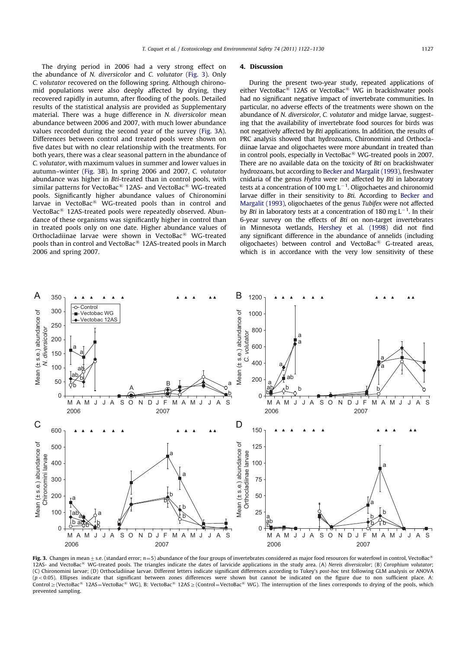The drying period in 2006 had a very strong effect on the abundance of N. diversicolor and C. volutator (Fig. 3). Only C. volutator recovered on the following spring. Although chironomid populations were also deeply affected by drying, they recovered rapidly in autumn, after flooding of the pools. Detailed results of the statistical analysis are provided as Supplementary material. There was a huge difference in N. diversicolor mean abundance between 2006 and 2007, with much lower abundance values recorded during the second year of the survey (Fig. 3A). Differences between control and treated pools were shown on five dates but with no clear relationship with the treatments. For both years, there was a clear seasonal pattern in the abundance of C. volutator, with maximum values in summer and lower values in autumn–winter (Fig. 3B). In spring 2006 and 2007, C. volutator abundance was higher in Bti-treated than in control pools, with similar patterns for VectoBac $^{\circledR}$  12AS- and VectoBac $^{\circledR}$  WG-treated pools. Significantly higher abundance values of Chironomini larvae in VectoBac $^{\circledR}$  WG-treated pools than in control and VectoBa $c^{\circledR}$  12AS-treated pools were repeatedly observed. Abundance of these organisms was significantly higher in control than in treated pools only on one date. Higher abundance values of Orthocladiinae larvae were shown in VectoBac® WG-treated pools than in control and VectoBac $\mathbb{B}$  12AS-treated pools in March 2006 and spring 2007.

#### 4. Discussion

During the present two-year study, repeated applications of either VectoBac $\mathbb{B}$  12AS or VectoBac $\mathbb{B}$  WG in brackishwater pools had no significant negative impact of invertebrate communities. In particular, no adverse effects of the treatments were shown on the abundance of N. diversicolor, C. volutator and midge larvae, suggesting that the availability of invertebrate food sources for birds was not negatively affected by Bti applications. In addition, the results of PRC analysis showed that hydrozoans, Chironomini and Orthocladiinae larvae and oligochaetes were more abundant in treated than in control pools, especially in VectoBac $\mathfrak{B}$  WG-treated pools in 2007. There are no available data on the toxicity of Bti on brackishwater hydrozoans, but according to Becker and Margalit (1993), freshwater cnidaria of the genus Hydra were not affected by Bti in laboratory tests at a concentration of 100 mg  $L^{-1}$ . Oligochaetes and chironomid larvae differ in their sensitivity to Bti. According to Becker and Margalit (1993), oligochaetes of the genus Tubifex were not affected by *Bti* in laboratory tests at a concentration of 180 mg  $L^{-1}$ . In their 6-year survey on the effects of Bti on non-target invertebrates in Minnesota wetlands, Hershey et al. (1998) did not find any significant difference in the abundance of annelids (including oligochaetes) between control and VectoBac $^{\circledR}$  G-treated areas, which is in accordance with the very low sensitivity of these



Fig. 3. Changes in mean  $\pm$  s.e. (standard error;  $n=5$ ) abundance of the four groups of invertebrates considered as major food resources for waterfowl in control, VectoBac<sup>®</sup> 12AS- and VectoBac<sup>®</sup> WG-treated pools. The triangles indicate the dates of larvicide applications in the study area. (A) Nereis diversicolor; (B) Corophium volutator; (C) Chironomini larvae; (D) Orthocladiinae larvae. Different letters indicate significant differences according to Tukey's post-hoc test following GLM analysis or ANOVA  $(p<0.05)$ . Ellipses indicate that significant between zones differences were shown but cannot be indicated on the figure due to non sufficient place. A: Control  $\geq$  (VectoBac<sup>®</sup> 12AS=VectoBac<sup>®</sup> WG), B: VectoBac<sup>®</sup> 12AS  $\geq$  (Control=VectoBac® WG). The interruption of the lines corresponds to drying of the pools, which prevented sampling.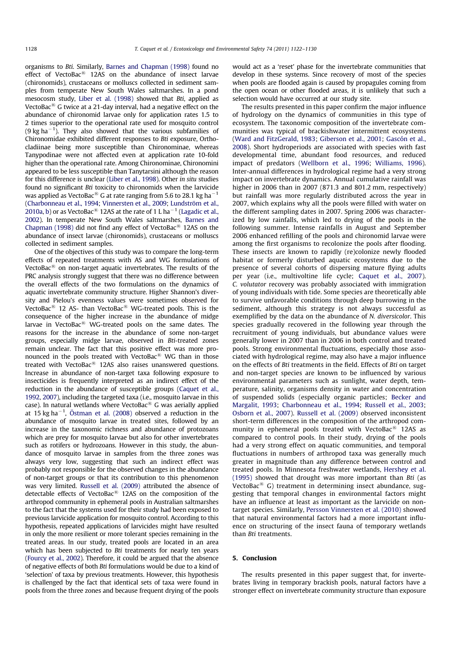organisms to Bti. Similarly, Barnes and Chapman (1998) found no effect of VectoBac $^{\circledR}$  12AS on the abundance of insect larvae (chironomids), crustaceans or molluscs collected in sediment samples from temperate New South Wales saltmarshes. In a pond mesocosm study, Liber et al. (1998) showed that Bti, applied as VectoBac $\mathbb{B}$  G twice at a 21-day interval, had a negative effect on the abundance of chironomid larvae only for application rates 1.5 to 2 times superior to the operational rate used for mosquito control (9 kg ha<sup> $-1$ </sup>). They also showed that the various subfamilies of Chironomidae exhibited different responses to Bti exposure, Orthocladiinae being more susceptible than Chironominae, whereas Tanypodinae were not affected even at application rate 10-fold higher than the operational rate. Among Chironominae, Chironomini appeared to be less susceptible than Tanytarsini although the reason for this difference is unclear (Liber et al., 1998). Other in situ studies found no significant Bti toxicity to chironomids when the larvicide was applied as VectoBac $^{\circledR}$  G at rate ranging from 5.6 to 28.1 kg ha $^{-1}$ (Charbonneau et al., 1994; Vinnersten et al., 2009; Lundström et al., 2010a, b) or as VectoBac $^{\circledR}$  12AS at the rate of 1 L ha $^{-1}$  (Lagadic et al., 2002). In temperate New South Wales saltmarshes, Barnes and Chapman (1998) did not find any effect of VectoBac $\mathbb{B}$  12AS on the abundance of insect larvae (chironomids), crustaceans or molluscs collected in sediment samples.

One of the objectives of this study was to compare the long-term effects of repeated treatments with AS and WG formulations of VectoBac $^{\circledR}$  on non-target aquatic invertebrates. The results of the PRC analysis strongly suggest that there was no difference between the overall effects of the two formulations on the dynamics of aquatic invertebrate community structure. Higher Shannon's diversity and Pielou's evenness values were sometimes observed for VectoBac<sup>®</sup> 12 AS- than VectoBac<sup>®</sup> WG-treated pools. This is the consequence of the higher increase in the abundance of midge larvae in VectoBac $\textcircled{\tiny{R}}$  WG-treated pools on the same dates. The reasons for the increase in the abundance of some non-target groups, especially midge larvae, observed in Bti-treated zones remain unclear. The fact that this positive effect was more pronounced in the pools treated with VectoBac $^{\circledR}$  WG than in those treated with VectoBac $<sup>8</sup>$  12AS also raises unanswered questions.</sup> Increase in abundance of non-target taxa following exposure to insecticides is frequently interpreted as an indirect effect of the reduction in the abundance of susceptible groups (Caquet et al., 1992, 2007), including the targeted taxa (i.e., mosquito larvae in this case). In natural wetlands where VectoBac $\textcircled{\tiny{R}}$  G was aerially applied at 15 kg ha $^{-1}$ , Östman et al. (2008) observed a reduction in the abundance of mosquito larvae in treated sites, followed by an increase in the taxonomic richness and abundance of protozoans which are prey for mosquito larvae but also for other invertebrates such as rotifers or hydrozoans. However in this study, the abundance of mosquito larvae in samples from the three zones was always very low, suggesting that such an indirect effect was probably not responsible for the observed changes in the abundance of non-target groups or that its contribution to this phenomenon was very limited. Russell et al. (2009) attributed the absence of detectable effects of VectoBac $^{\circledR}$  12AS on the composition of the arthropod community in ephemeral pools in Australian saltmarshes to the fact that the systems used for their study had been exposed to previous larvicide application for mosquito control. According to this hypothesis, repeated applications of larvicides might have resulted in only the more resilient or more tolerant species remaining in the treated areas. In our study, treated pools are located in an area which has been subjected to Bti treatments for nearly ten years (Fourcy et al., 2002). Therefore, it could be argued that the absence of negative effects of both Bti formulations would be due to a kind of 'selection' of taxa by previous treatments. However, this hypothesis is challenged by the fact that identical sets of taxa were found in pools from the three zones and because frequent drying of the pools would act as a 'reset' phase for the invertebrate communities that develop in these systems. Since recovery of most of the species when pools are flooded again is caused by propagules coming from the open ocean or other flooded areas, it is unlikely that such a selection would have occurred at our study site.

The results presented in this paper confirm the major influence of hydrology on the dynamics of communities in this type of ecosystem. The taxonomic composition of the invertebrate communities was typical of brackishwater intermittent ecosystems (Ward and FitzGerald, 1983; Giberson et al., 2001; Gascón et al., 2008). Short hydroperiods are associated with species with fast developmental time, abundant food resources, and reduced impact of predators (Wellborn et al., 1996; Williams, 1996). Inter-annual differences in hydrological regime had a very strong impact on invertebrate dynamics. Annual cumulative rainfall was higher in 2006 than in 2007 (871.3 and 801.2 mm, respectively) but rainfall was more regularly distributed across the year in 2007, which explains why all the pools were filled with water on the different sampling dates in 2007. Spring 2006 was characterized by low rainfalls, which led to drying of the pools in the following summer. Intense rainfalls in August and September 2006 enhanced refilling of the pools and chironomid larvae were among the first organisms to recolonize the pools after flooding. These insects are known to rapidly (re)colonize newly flooded habitat or formerly disturbed aquatic ecosystems due to the presence of several cohorts of dispersing mature flying adults per year (i.e., multivoltine life cycle; Caquet et al., 2007). C. volutator recovery was probably associated with immigration of young individuals with tide. Some species are theoretically able to survive unfavorable conditions through deep burrowing in the sediment, although this strategy is not always successful as exemplified by the data on the abundance of N. diversicolor. This species gradually recovered in the following year through the recruitment of young individuals, but abundance values were generally lower in 2007 than in 2006 in both control and treated pools. Strong environmental fluctuations, especially those associated with hydrological regime, may also have a major influence on the effects of Bti treatments in the field. Effects of Bti on target and non-target species are known to be influenced by various environmental parameters such as sunlight, water depth, temperature, salinity, organisms density in water and concentration of suspended solids (especially organic particles; Becker and Margalit, 1993; Charbonneau et al., 1994; Russell et al., 2003; Osborn et al., 2007). Russell et al. (2009) observed inconsistent short-term differences in the composition of the arthropod community in ephemeral pools treated with VectoBac $^{\circledR}$  12AS as compared to control pools. In their study, drying of the pools had a very strong effect on aquatic communities, and temporal fluctuations in numbers of arthropod taxa was generally much greater in magnitude than any difference between control and treated pools. In Minnesota freshwater wetlands, Hershey et al. (1995) showed that drought was more important than Bti (as VectoBac<sup>®</sup> G) treatment in determining insect abundance, suggesting that temporal changes in environmental factors might have an influence at least as important as the larvicide on nontarget species. Similarly, Persson Vinnersten et al. (2010) showed that natural environmental factors had a more important influence on structuring of the insect fauna of temporary wetlands than Bti treatments.

## 5. Conclusion

The results presented in this paper suggest that, for invertebrates living in temporary brackish pools, natural factors have a stronger effect on invertebrate community structure than exposure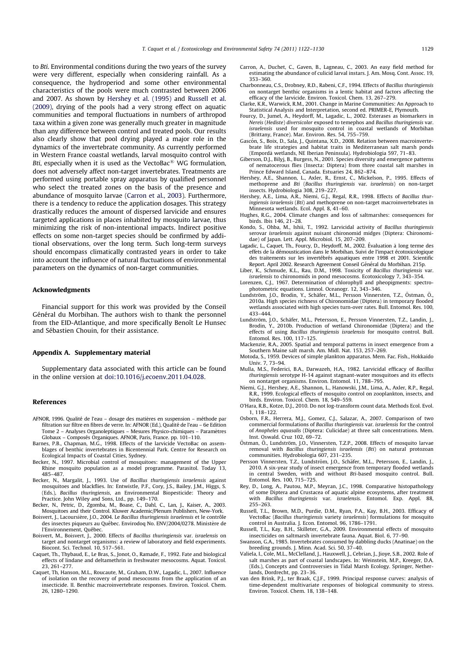to Bti. Environmental conditions during the two years of the survey were very different, especially when considering rainfall. As a consequence, the hydroperiod and some other environmental characteristics of the pools were much contrasted between 2006 and 2007. As shown by Hershey et al. (1995) and Russell et al. (2009), drying of the pools had a very strong effect on aquatic communities and temporal fluctuations in numbers of arthropod taxa within a given zone was generally much greater in magnitude than any difference between control and treated pools. Our results also clearly show that pool drying played a major role in the dynamics of the invertebrate community. As currently performed in Western France coastal wetlands, larval mosquito control with Bti, especially when it is used as the VectoBac $^{\circledR}$  WG formulation, does not adversely affect non-target invertebrates. Treatments are performed using portable spray apparatus by qualified personnel who select the treated zones on the basis of the presence and abundance of mosquito larvae (Carron et al., 2003). Furthermore, there is a tendency to reduce the application dosages. This strategy drastically reduces the amount of dispersed larvicide and ensures targeted applications in places inhabited by mosquito larvae, thus minimizing the risk of non-intentional impacts. Indirect positive effects on some non-target species should be confirmed by additional observations, over the long term. Such long-term surveys should encompass climatically contrasted years in order to take into account the influence of natural fluctuations of environmental parameters on the dynamics of non-target communities.

## Acknowledgments

Financial support for this work was provided by the Conseil Général du Morbihan. The authors wish to thank the personnel from the EID-Atlantique, and more specifically Benoît Le Hunsec and Sébastien Chouin, for their assistance.

## Appendix A. Supplementary material

Supplementary data associated with this article can be found in the online version at doi:10.1016/j.ecoenv.2011.04.028.

### References

- AFNOR, 1996. Qualité de l'eau dosage des matières en suspension méthode par filtration sur filtre en fibres de verre. In: AFNOR (Ed.), Qualité de l'eau - 6e Edition Tome 2 – Analyses Organoleptiques – Mesures Physico-chimiques – Parametres - Globaux – Composés Organiques. AFNOR, Paris, France. pp. 101–110.
- Barnes, P.B., Chapman, M.G., 1998. Effects of the larvicide VectoBac on assemblages of benthic invertebrates in Bicentennial Park. Centre for Research on Ecological Impacts of Coastal Cities, Sydney.
- Becker, N., 1997. Microbial control of mosquitoes: management of the Upper Rhine mosquito population as a model programme. Parasitol. Today 13, 485–487.
- Becker, N., Margalit, J., 1993. Use of Bacillus thuringiensis israelensis against mosquitoes and blackflies. In: Entwistle, P.F., Cory, J.S., Bailey, J.M., Higgs, S. (Eds.), Bacillus thuringiensis, an Environmental Biopesticide: Theory and Practice. John Wiley and Sons, Ltd., pp. 149–170.
- Becker, N., Petric, D., Zgomba, M., Boase, C., Dahl, C., Lan, J., Kaiser, A., 2003. Mosquitoes and their Control. Kluwer Academic/Plenum Publishers, New-York.
- Boisvert, J., Lacoursière, J.O., 2004. Le Bacillus thuringiensis israelensis et le contrôle des insectes piqueurs au Québec. Envirodoq No. ENV/2004/0278. Ministère de l'Environnement, Québec.
- Boisvert, M., Boisvert, J., 2000. Effects of Bacillus thuringiensis var. israelensis on target and nontarget organisms: a review of laboratory and field experiments. Biocont. Sci. Technol. 10, 517–561.
- Caquet, Th., Thybaud, E., Le Bras, S., Jonot, O., Ramade, F., 1992. Fate and biological effects of lindane and deltamethrin in freshwater mesocosms. Aquat. Toxicol. 23, 261–277.
- Caquet, Th, Hanson, M.L., Roucaute, M., Graham, D.W., Lagadic, L., 2007. Influence of isolation on the recovery of pond mesocosms from the application of an insecticide. II. Benthic macroinvertebrate responses. Environ. Toxicol. Chem. 26, 1280–1290.
- Carron, A., Duchet, C., Gaven, B., Lagneau, C., 2003. An easy field method for estimating the abundance of culicid larval instars. J. Am. Mosq. Cont. Assoc. 19, 353–360.
- Charbonneau, C.S., Drobney, R.D., Rabeni, C.F., 1994. Effects of Bacillus thuringiensis on nontarget benthic organisms in a lentic habitat and factors affecting the efficacy of the larvicide. Environ. Toxicol. Chem. 13, 267–279.
- Clarke, K.R., Warwick, R.M., 2001. Change in Marine Communities: An Approach to Statistical Analysis and Interpretation, second ed. PRIMER-E, Plymouth.
- Fourcy, D., Jumel, A., Heydorff, M., Lagadic, L., 2002. Esterases as biomarkers in Nereis (Hediste) diversicolor exposed to temephos and Bacillus thuringiensis var. israelensis used for mosquito control in coastal wetlands of Morbihan (Brittany, France). Mar. Environ. Res. 54, 755–759.
- Gascón, S., Boix, D., Sala, J., Quintana, X.D., 2008. Relation between macroinvertebrate life strategies and habitat traits in Mediterranean salt marsh ponds (Empordà wetlands, NE Iberian Peninsula). Hydrobiologia 597, 71-83.
- Giberson, D.J., Bilyj, B., Burgess, N., 2001. Species diversity and emergence patterns of nematocerous flies (Insecta: Diptera) from three coastal salt marshes in Prince Edward Island, Canada. Estuaries 24, 862–874.
- Hershey, A.E., Shannon, L., Axler, R., Ernst, C., Mickelson, P., 1995. Effects of methoprene and Bti (Bacillus thuringiensis var. israelensis) on non-target insects. Hydrobiologia 308, 219–227.
- Hershey, A.E., Lima, A.R., Niemi, G.J., Regal, R.R., 1998. Effects of Bacillus thuringiensis israelensis (Bti) and methoprene on non-target macroinvertebrates in Minnesota wetlands. Ecol. Appl. 8, 41–60.
- Hughes, R.G., 2004. Climate changes and loss of saltmarshes: consequences for birds. Ibis 146, 21–28.
- Kondo, S., Ohba, M., Ishii, T., 1992. Larvicidal activity of Bacillus thuringiensis serovar israelensis against nuisant chironomid midges (Diptera: Chironomidae) of Japan. Lett. Appl. Microbiol. 15, 207–209.
- Lagadic, L., Caquet, Th., Fourcy, D., Heydorff, M., 2002. Évaluation à long terme des effets de la démoustication dans le Morbihan. Suivi de l'impact écotoxicologique des traitements sur les invertébrés aquatiques entre 1998 et 2001. Scientific Report. April 2002. Research Agreement Conseil Général du Morbihan. 215p.
- Liber, K., Schmude, K.L., Rau, D.M., 1998. Toxicity of Bacillus thuringiensis var. israelensis to chironomids in pond mesocosms. Ecotoxicology 7, 343–354.
- Lorenzen, C.J., 1967. Determination of chlorophyll and pheopigments: spectrophotometric equations. Limnol. Oceanogr. 12, 343–346.
- Lundström, J.O., Brodin, Y., Schäfer, M.L., Persson Vinnersten, T.Z., Östman, Ö.<br>2010a. High species richness of Chironomidae (Diptera) in temporary flooded wetlands associated with high species turn-over rates. Bull. Entomol. Res. 100, 433–444.
- Lundström, J.O., Schäfer, M.L., Petersson, E., Persson Vinnersten, T.Z., Landin, J., Brodin, Y., 2010b. Production of wetland Chironomidae (Diptera) and the effects of using Bacillus thuringiensis israelensis for mosquito control. Bull. Entomol. Res. 100, 117–125.
- Mackenzie, R.A., 2005. Spatial and temporal patterns in insect emergence from a Southern Maine salt marsh. Am. Midl. Nat. 153, 257–269.
- Motoda, S., 1959. Devices of simple plankton apparatus. Mem. Fac. Fish., Hokkaido Univ. 7, 73–94.
- Mulla, M.S., Federici, B.A., Darwazeh, H.A., 1982. Larvicidal efficacy of Bacillus thuringiensis serotype H-14 against stagnant-water mosquitoes and its effects on nontarget organisms. Environ. Entomol. 11, 788–795.
- Niemi, G.J., Hershey, A.E., Shannon, L., Hanowski, J.M., Lima, A., Axler, R.P., Regal, R.R., 1999. Ecological effects of mosquito control on zooplankton, insects, and birds. Environ. Toxicol. Chem. 18, 549–559.
- O'Hara, R.B., Kotze, D.J., 2010. Do not log-transform count data. Methods Ecol. Evol. 1, 118–122.
- Osborn, F.R., Herrera, M.J., Gomez, C.J., Salazar, A., 2007. Comparison of two commercial formulations of Bacillus thuringiensis var. israelensis for the control of Anopheles aquasalis (Diptera: Culicidae) at three salt concentrations. Mem. Inst. Oswald. Cruz 102, 69–72.
- Östman, Ö., Lundström, J.O., Vinnersten, T.Z.P., 2008. Effects of mosquito larvae removal with Bacillus thuringiensis israelensis (Bti) on natural protozoan communities. Hydrobiologia 607, 231–235.
- Persson Vinnersten, T.Z., Lundström, J.O., Schäfer, M.L., Petersson, E., Landin, J., 2010. A six-year study of insect emergence from temporary flooded wetlands in central Sweden, with and without Bti-based mosquito control. Bull. Entomol. Res. 100, 715–725.
- Rey, D., Long, A., Pautou, M.P., Meyran, J.C., 1998. Comparative histopathology of some Diptera and Crustacea of aquatic alpine ecosystems, after treatment with Bacillus thuringiensis var. israelensis. Entomol. Exp. Appl. 88, 255–263.
- Russell, T.L., Brown, M.D., Purdie, D.M., Ryan, P.A., Kay, B.H., 2003. Efficacy of VectoBac (Bacillus thuringiensis variety israelensis) formulations for mosquito control in Australia. J. Econ. Entomol. 96, 1786–1791.
- Russell, T.L., Kay, B.H., Skilleter, G.A., 2009. Environmental effects of mosquito insecticides on saltmarsh invertebrate fauna. Aquat. Biol. 6, 77–90.
- Swanson, G.A., 1985. Invertebrates consumed by dabbling ducks (Anatinae) on the breeding grounds. J. Minn. Acad. Sci. 50, 37–40.
- Valiela, I., Cole, M.L., McClelland, J., Hauxwell, J., Cebrian, J., Jioye, S.B., 2002. Role of salt marshes as part of coastal landscapes. In: Weinstein, M.P., Kreeger, D.A. (Eds.), Concepts and Controversies in Tidal Marsh Ecology. Springer, Netherlands, Dordrecht, pp. 23–36.
- van den Brink, P.J., ter Braak, C.J.F., 1999. Principal response curves: analysis of time-dependent multivariate responses of biological community to stress. Environ. Toxicol. Chem. 18, 138–148.